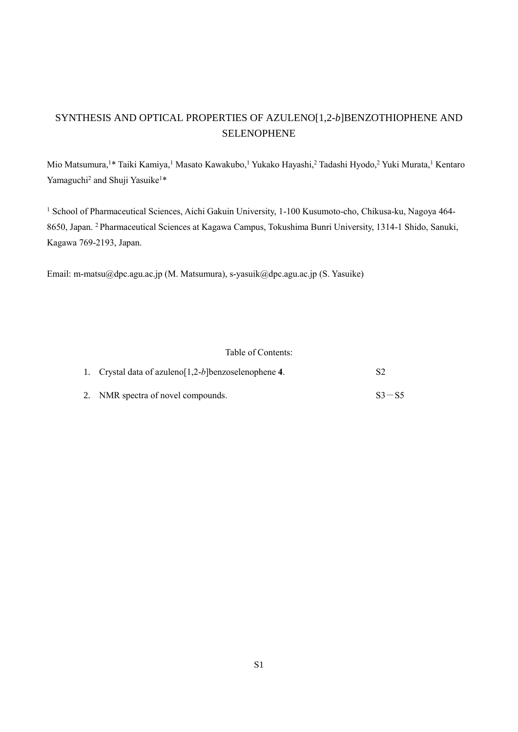## SYNTHESIS AND OPTICAL PROPERTIES OF AZULENO[1,2-*b*]BENZOTHIOPHENE AND SELENOPHENE

Mio Matsumura,<sup>1\*</sup> Taiki Kamiya,<sup>1</sup> Masato Kawakubo,<sup>1</sup> Yukako Hayashi,<sup>2</sup> Tadashi Hyodo,<sup>2</sup> Yuki Murata,<sup>1</sup> Kentaro Yamaguchi<sup>2</sup> and Shuji Yasuike<sup>1\*</sup>

<sup>1</sup> School of Pharmaceutical Sciences, Aichi Gakuin University, 1-100 Kusumoto-cho, Chikusa-ku, Nagoya 464-8650, Japan. <sup>2</sup>Pharmaceutical Sciences at Kagawa Campus, Tokushima Bunri University, 1314-1 Shido, Sanuki, Kagawa 769-2193, Japan.

Email: m-matsu@dpc.agu.ac.jp (M. Matsumura), s-yasuik@dpc.agu.ac.jp (S. Yasuike)

#### Table of Contents:

| 1. Crystal data of azuleno $[1,2-b]$ benzoselenophene 4. |           |  |
|----------------------------------------------------------|-----------|--|
| 2. NMR spectra of novel compounds.                       | $S3 - S5$ |  |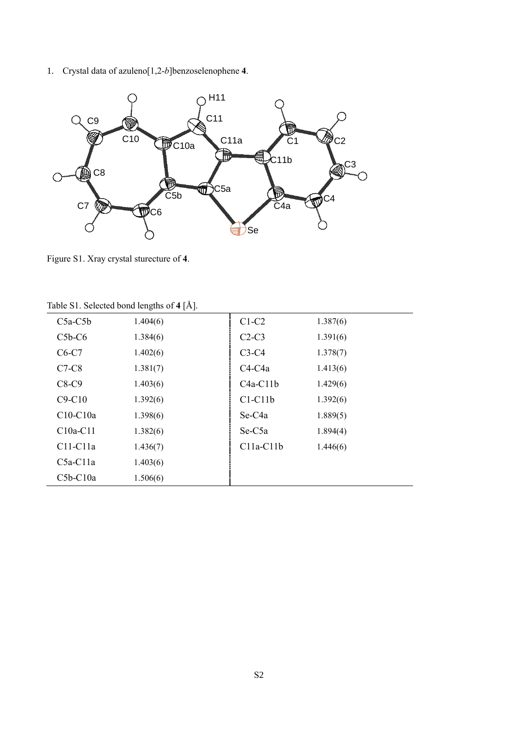1. Crystal data of azuleno[1,2-*b*]benzoselenophene **4**.



Figure S1. Xray crystal sturecture of **4**.

| $C5a-C5b$  | 1.404(6) | $C1-C2$             | 1.387(6) |  |  |
|------------|----------|---------------------|----------|--|--|
| $C5b-C6$   | 1.384(6) | $C2-C3$             | 1.391(6) |  |  |
| $C6-C7$    | 1.402(6) | $C3-C4$             | 1.378(7) |  |  |
| $C7-C8$    | 1.381(7) | $C4-C4a$            | 1.413(6) |  |  |
| $C8-C9$    | 1.403(6) | $C4a-C11b$          | 1.429(6) |  |  |
| $C9-C10$   | 1.392(6) | $C1-C11b$           | 1.392(6) |  |  |
| $C10-C10a$ | 1.398(6) | Se-C <sub>4</sub> a | 1.889(5) |  |  |
| $C10a-C11$ | 1.382(6) | Se-C5a              | 1.894(4) |  |  |
| $C11-C11a$ | 1.436(7) | $C11a-C11b$         | 1.446(6) |  |  |
| $C5a-C11a$ | 1.403(6) |                     |          |  |  |
| $C5b-C10a$ | 1.506(6) |                     |          |  |  |

Table S1. Selected bond lengths of **4** [Å].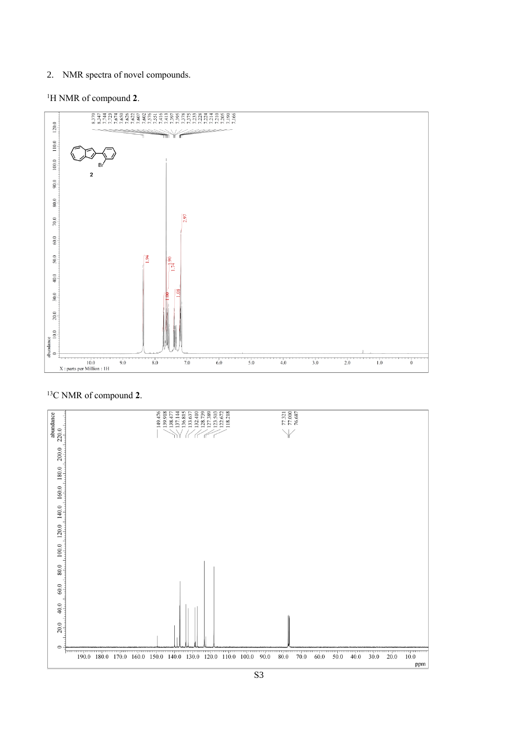### 2. NMR spectra of novel compounds.

## <sup>1</sup>H NMR of compound **2**.



# 13C NMR of compound **2**.

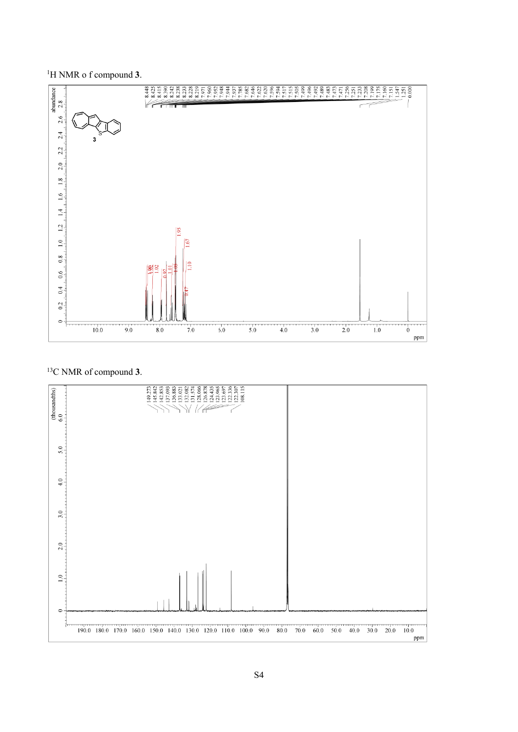H NMR o f compound **3**.



### C NMR of compound **3**.